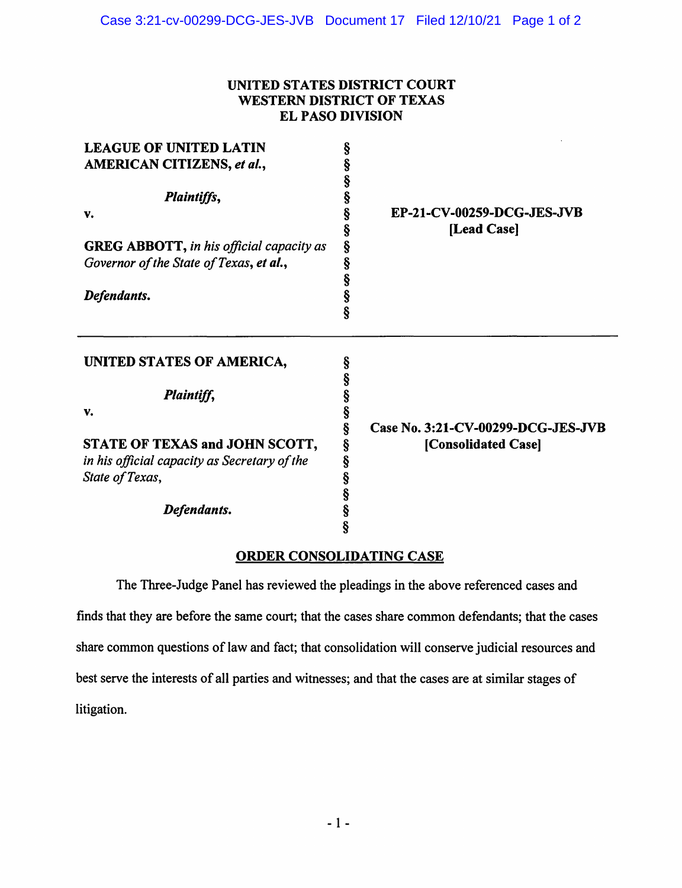## **UNITED STATES DISTRICT COURT WESTERN DISTRICT OF TEXAS EL PASO DIVISION**

| <b>LEAGUE OF UNITED LATIN</b><br>AMERICAN CITIZENS, et al.,<br>Plaintiffs,<br>v.<br><b>GREG ABBOTT, in his official capacity as</b><br>Governor of the State of Texas, et al.,<br>Defendants. | §<br>§<br>§<br>§<br>§<br>§<br>Ş<br>§<br>§<br>§<br>§ | EP-21-CV-00259-DCG-JES-JVB<br>[Lead Case]                 |
|-----------------------------------------------------------------------------------------------------------------------------------------------------------------------------------------------|-----------------------------------------------------|-----------------------------------------------------------|
| UNITED STATES OF AMERICA,<br>Plaintiff,<br>v.<br>STATE OF TEXAS and JOHN SCOTT,                                                                                                               | §<br>§<br>§<br>Ş<br>§<br>Ş                          | Case No. 3:21-CV-00299-DCG-JES-JVB<br>[Consolidated Case] |
| in his official capacity as Secretary of the<br>State of Texas,<br>Defendants.                                                                                                                | Ş<br>§<br>§<br>§<br>§                               |                                                           |

## **ORDER CONSOLIDATING CASE**

The Three-Judge Panel has reviewed the pleadings in the above referenced cases and finds that they are before the same court; that the cases share common defendants; that the cases share common questions of law and fact; that consolidation will conserve judicial resources and best serve the interests of all parties and witnesses; and that the cases are at similar stages of litigation.